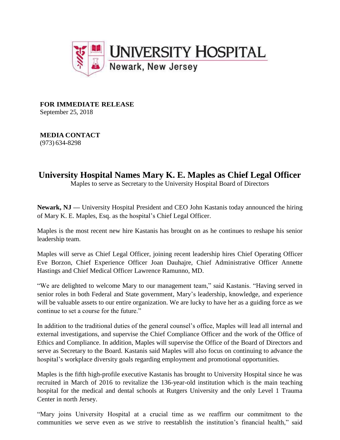

**FOR IMMEDIATE RELEASE** September 25, 2018

**MEDIA CONTACT** (973) 634-8298

## **University Hospital Names Mary K. E. Maples as Chief Legal Officer**

Maples to serve as Secretary to the University Hospital Board of Directors

**Newark, NJ —** University Hospital President and CEO John Kastanis today announced the hiring of Mary K. E. Maples, Esq. as the hospital's Chief Legal Officer.

Maples is the most recent new hire Kastanis has brought on as he continues to reshape his senior leadership team.

Maples will serve as Chief Legal Officer, joining recent leadership hires Chief Operating Officer Eve Borzon, Chief Experience Officer Joan Dauhajre, Chief Administrative Officer Annette Hastings and Chief Medical Officer Lawrence Ramunno, MD.

"We are delighted to welcome Mary to our management team," said Kastanis. "Having served in senior roles in both Federal and State government, Mary's leadership, knowledge, and experience will be valuable assets to our entire organization. We are lucky to have her as a guiding force as we continue to set a course for the future."

In addition to the traditional duties of the general counsel's office, Maples will lead all internal and external investigations, and supervise the Chief Compliance Officer and the work of the Office of Ethics and Compliance. In addition, Maples will supervise the Office of the Board of Directors and serve as Secretary to the Board. Kastanis said Maples will also focus on continuing to advance the hospital's workplace diversity goals regarding employment and promotional opportunities.

Maples is the fifth high-profile executive Kastanis has brought to University Hospital since he was recruited in March of 2016 to revitalize the 136-year-old institution which is the main teaching hospital for the medical and dental schools at Rutgers University and the only Level 1 Trauma Center in north Jersey.

"Mary joins University Hospital at a crucial time as we reaffirm our commitment to the communities we serve even as we strive to reestablish the institution's financial health," said